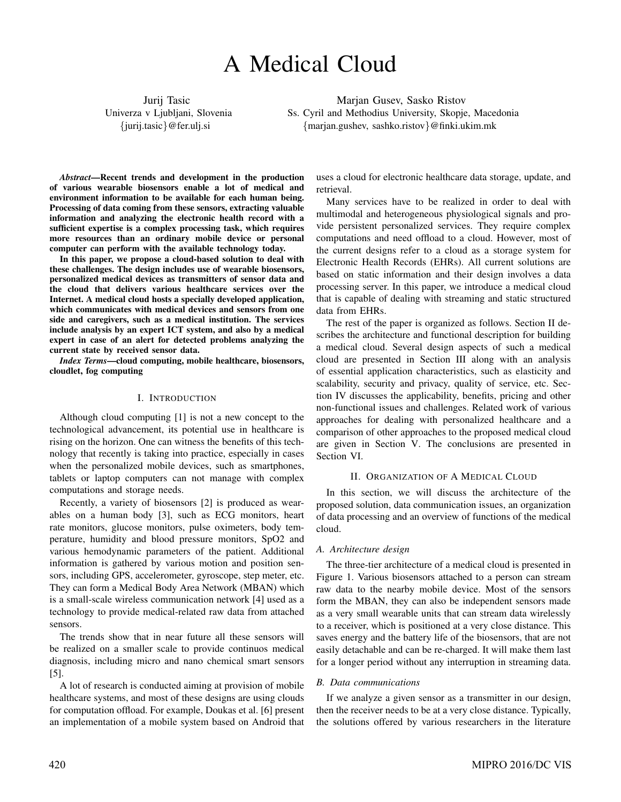# A Medical Cloud

Jurij Tasic Univerza v Ljubljani, Slovenia {jurij.tasic}@fer.ulj.si

Marjan Gusev, Sasko Ristov Ss. Cyril and Methodius University, Skopje, Macedonia {marjan.gushev, sashko.ristov}@finki.ukim.mk

*Abstract*—Recent trends and development in the production of various wearable biosensors enable a lot of medical and environment information to be available for each human being. Processing of data coming from these sensors, extracting valuable information and analyzing the electronic health record with a sufficient expertise is a complex processing task, which requires more resources than an ordinary mobile device or personal computer can perform with the available technology today.

In this paper, we propose a cloud-based solution to deal with these challenges. The design includes use of wearable biosensors, personalized medical devices as transmitters of sensor data and the cloud that delivers various healthcare services over the Internet. A medical cloud hosts a specially developed application, which communicates with medical devices and sensors from one side and caregivers, such as a medical institution. The services include analysis by an expert ICT system, and also by a medical expert in case of an alert for detected problems analyzing the current state by received sensor data.

*Index Terms*—cloud computing, mobile healthcare, biosensors, cloudlet, fog computing

#### I. INTRODUCTION

Although cloud computing [1] is not a new concept to the technological advancement, its potential use in healthcare is rising on the horizon. One can witness the benefits of this technology that recently is taking into practice, especially in cases when the personalized mobile devices, such as smartphones, tablets or laptop computers can not manage with complex computations and storage needs.

Recently, a variety of biosensors [2] is produced as wearables on a human body [3], such as ECG monitors, heart rate monitors, glucose monitors, pulse oximeters, body temperature, humidity and blood pressure monitors, SpO2 and various hemodynamic parameters of the patient. Additional information is gathered by various motion and position sensors, including GPS, accelerometer, gyroscope, step meter, etc. They can form a Medical Body Area Network (MBAN) which is a small-scale wireless communication network [4] used as a technology to provide medical-related raw data from attached sensors.

The trends show that in near future all these sensors will be realized on a smaller scale to provide continuos medical diagnosis, including micro and nano chemical smart sensors [5].

A lot of research is conducted aiming at provision of mobile healthcare systems, and most of these designs are using clouds for computation offload. For example, Doukas et al. [6] present an implementation of a mobile system based on Android that

uses a cloud for electronic healthcare data storage, update, and retrieval.

Many services have to be realized in order to deal with multimodal and heterogeneous physiological signals and provide persistent personalized services. They require complex computations and need offload to a cloud. However, most of the current designs refer to a cloud as a storage system for Electronic Health Records (EHRs). All current solutions are based on static information and their design involves a data processing server. In this paper, we introduce a medical cloud that is capable of dealing with streaming and static structured data from EHRs.

The rest of the paper is organized as follows. Section II describes the architecture and functional description for building a medical cloud. Several design aspects of such a medical cloud are presented in Section III along with an analysis of essential application characteristics, such as elasticity and scalability, security and privacy, quality of service, etc. Section IV discusses the applicability, benefits, pricing and other non-functional issues and challenges. Related work of various approaches for dealing with personalized healthcare and a comparison of other approaches to the proposed medical cloud are given in Section V. The conclusions are presented in Section VI.

### II. ORGANIZATION OF A MEDICAL CLOUD

In this section, we will discuss the architecture of the proposed solution, data communication issues, an organization of data processing and an overview of functions of the medical cloud.

#### *A. Architecture design*

The three-tier architecture of a medical cloud is presented in Figure 1. Various biosensors attached to a person can stream raw data to the nearby mobile device. Most of the sensors form the MBAN, they can also be independent sensors made as a very small wearable units that can stream data wirelessly to a receiver, which is positioned at a very close distance. This saves energy and the battery life of the biosensors, that are not easily detachable and can be re-charged. It will make them last for a longer period without any interruption in streaming data.

#### *B. Data communications*

If we analyze a given sensor as a transmitter in our design, then the receiver needs to be at a very close distance. Typically, the solutions offered by various researchers in the literature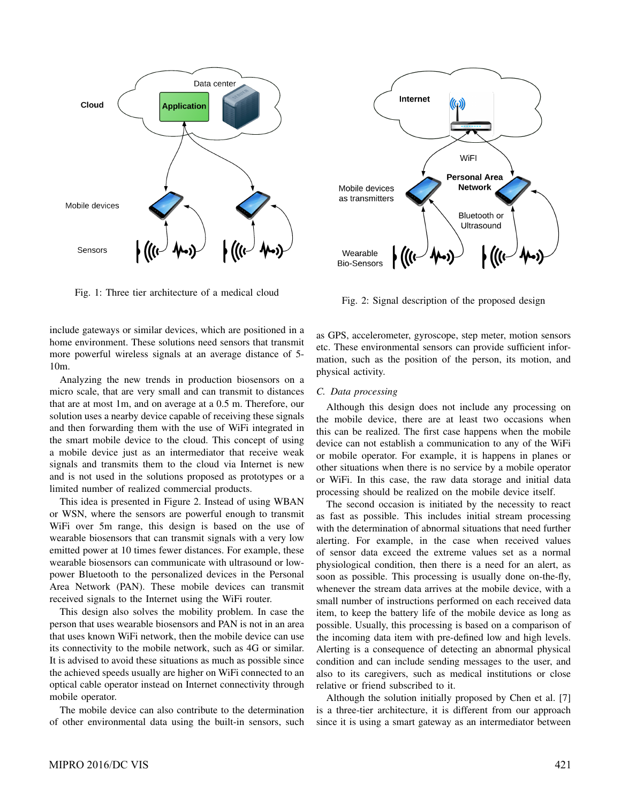

Fig. 1: Three tier architecture of a medical cloud



Internet

Fig. 2: Signal description of the proposed design

include gateways or similar devices, which are positioned in a home environment. These solutions need sensors that transmit more powerful wireless signals at an average distance of 5- 10m.

Analyzing the new trends in production biosensors on a micro scale, that are very small and can transmit to distances that are at most 1m, and on average at a 0.5 m. Therefore, our solution uses a nearby device capable of receiving these signals and then forwarding them with the use of WiFi integrated in the smart mobile device to the cloud. This concept of using a mobile device just as an intermediator that receive weak signals and transmits them to the cloud via Internet is new and is not used in the solutions proposed as prototypes or a limited number of realized commercial products.

This idea is presented in Figure 2. Instead of using WBAN or WSN, where the sensors are powerful enough to transmit WiFi over 5m range, this design is based on the use of wearable biosensors that can transmit signals with a very low emitted power at 10 times fewer distances. For example, these wearable biosensors can communicate with ultrasound or lowpower Bluetooth to the personalized devices in the Personal Area Network (PAN). These mobile devices can transmit received signals to the Internet using the WiFi router.

This design also solves the mobility problem. In case the person that uses wearable biosensors and PAN is not in an area that uses known WiFi network, then the mobile device can use its connectivity to the mobile network, such as 4G or similar. It is advised to avoid these situations as much as possible since the achieved speeds usually are higher on WiFi connected to an optical cable operator instead on Internet connectivity through mobile operator.

The mobile device can also contribute to the determination of other environmental data using the built-in sensors, such as GPS, accelerometer, gyroscope, step meter, motion sensors etc. These environmental sensors can provide sufficient information, such as the position of the person, its motion, and physical activity.

## *C. Data processing*

Although this design does not include any processing on the mobile device, there are at least two occasions when this can be realized. The first case happens when the mobile device can not establish a communication to any of the WiFi or mobile operator. For example, it is happens in planes or other situations when there is no service by a mobile operator or WiFi. In this case, the raw data storage and initial data processing should be realized on the mobile device itself.

The second occasion is initiated by the necessity to react as fast as possible. This includes initial stream processing with the determination of abnormal situations that need further alerting. For example, in the case when received values of sensor data exceed the extreme values set as a normal physiological condition, then there is a need for an alert, as soon as possible. This processing is usually done on-the-fly, whenever the stream data arrives at the mobile device, with a small number of instructions performed on each received data item, to keep the battery life of the mobile device as long as possible. Usually, this processing is based on a comparison of the incoming data item with pre-defined low and high levels. Alerting is a consequence of detecting an abnormal physical condition and can include sending messages to the user, and also to its caregivers, such as medical institutions or close relative or friend subscribed to it.

Although the solution initially proposed by Chen et al. [7] is a three-tier architecture, it is different from our approach since it is using a smart gateway as an intermediator between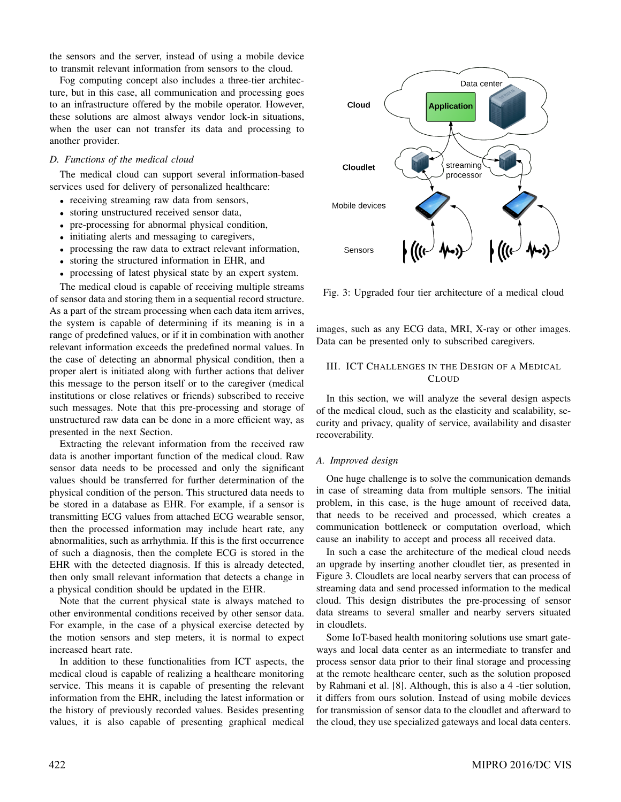the sensors and the server, instead of using a mobile device to transmit relevant information from sensors to the cloud.

Fog computing concept also includes a three-tier architecture, but in this case, all communication and processing goes to an infrastructure offered by the mobile operator. However, these solutions are almost always vendor lock-in situations, when the user can not transfer its data and processing to another provider.

#### *D. Functions of the medical cloud*

The medical cloud can support several information-based services used for delivery of personalized healthcare:

- receiving streaming raw data from sensors,
- storing unstructured received sensor data,
- pre-processing for abnormal physical condition,
- initiating alerts and messaging to caregivers,
- processing the raw data to extract relevant information,
- storing the structured information in EHR, and
- processing of latest physical state by an expert system.

The medical cloud is capable of receiving multiple streams of sensor data and storing them in a sequential record structure. As a part of the stream processing when each data item arrives, the system is capable of determining if its meaning is in a range of predefined values, or if it in combination with another relevant information exceeds the predefined normal values. In the case of detecting an abnormal physical condition, then a proper alert is initiated along with further actions that deliver this message to the person itself or to the caregiver (medical institutions or close relatives or friends) subscribed to receive such messages. Note that this pre-processing and storage of unstructured raw data can be done in a more efficient way, as presented in the next Section.

Extracting the relevant information from the received raw data is another important function of the medical cloud. Raw sensor data needs to be processed and only the significant values should be transferred for further determination of the physical condition of the person. This structured data needs to be stored in a database as EHR. For example, if a sensor is transmitting ECG values from attached ECG wearable sensor, then the processed information may include heart rate, any abnormalities, such as arrhythmia. If this is the first occurrence of such a diagnosis, then the complete ECG is stored in the EHR with the detected diagnosis. If this is already detected, then only small relevant information that detects a change in a physical condition should be updated in the EHR.

Note that the current physical state is always matched to other environmental conditions received by other sensor data. For example, in the case of a physical exercise detected by the motion sensors and step meters, it is normal to expect increased heart rate.

In addition to these functionalities from ICT aspects, the medical cloud is capable of realizing a healthcare monitoring service. This means it is capable of presenting the relevant information from the EHR, including the latest information or the history of previously recorded values. Besides presenting values, it is also capable of presenting graphical medical



Fig. 3: Upgraded four tier architecture of a medical cloud

images, such as any ECG data, MRI, X-ray or other images. Data can be presented only to subscribed caregivers.

## III. ICT CHALLENGES IN THE DESIGN OF A MEDICAL **CLOUD**

In this section, we will analyze the several design aspects of the medical cloud, such as the elasticity and scalability, security and privacy, quality of service, availability and disaster recoverability.

## *A. Improved design*

One huge challenge is to solve the communication demands in case of streaming data from multiple sensors. The initial problem, in this case, is the huge amount of received data, that needs to be received and processed, which creates a communication bottleneck or computation overload, which cause an inability to accept and process all received data.

In such a case the architecture of the medical cloud needs an upgrade by inserting another cloudlet tier, as presented in Figure 3. Cloudlets are local nearby servers that can process of streaming data and send processed information to the medical cloud. This design distributes the pre-processing of sensor data streams to several smaller and nearby servers situated in cloudlets.

Some IoT-based health monitoring solutions use smart gateways and local data center as an intermediate to transfer and process sensor data prior to their final storage and processing at the remote healthcare center, such as the solution proposed by Rahmani et al. [8]. Although, this is also a 4 -tier solution, it differs from ours solution. Instead of using mobile devices for transmission of sensor data to the cloudlet and afterward to the cloud, they use specialized gateways and local data centers.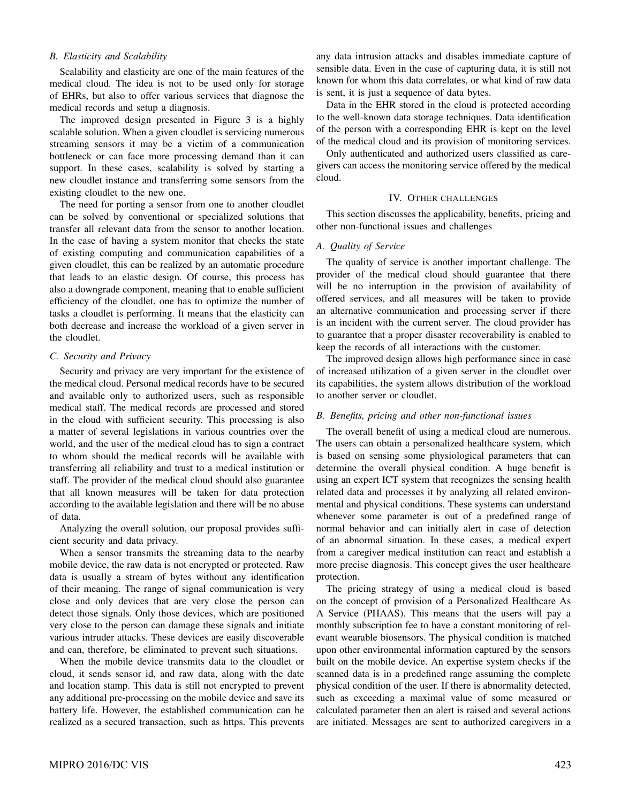## *B. Elasticity and Scalability*

Scalability and elasticity are one of the main features of the medical cloud. The idea is not to be used only for storage of EHRs, but also to offer various services that diagnose the medical records and setup a diagnosis.

The improved design presented in Figure 3 is a highly scalable solution. When a given cloudlet is servicing numerous streaming sensors it may be a victim of a communication bottleneck or can face more processing demand than it can support. In these cases, scalability is solved by starting a new cloudlet instance and transferring some sensors from the existing cloudlet to the new one.

The need for porting a sensor from one to another cloudlet can be solved by conventional or specialized solutions that transfer all relevant data from the sensor to another location. In the case of having a system monitor that checks the state of existing computing and communication capabilities of a given cloudlet, this can be realized by an automatic procedure that leads to an elastic design. Of course, this process has also a downgrade component, meaning that to enable sufficient efficiency of the cloudlet, one has to optimize the number of tasks a cloudlet is performing. It means that the elasticity can both decrease and increase the workload of a given server in the cloudlet.

#### *C. Security and Privacy*

Security and privacy are very important for the existence of the medical cloud. Personal medical records have to be secured and available only to authorized users, such as responsible medical staff. The medical records are processed and stored in the cloud with sufficient security. This processing is also a matter of several legislations in various countries over the world, and the user of the medical cloud has to sign a contract to whom should the medical records will be available with transferring all reliability and trust to a medical institution or staff. The provider of the medical cloud should also guarantee that all known measures will be taken for data protection according to the available legislation and there will be no abuse of data.

Analyzing the overall solution, our proposal provides sufficient security and data privacy.

When a sensor transmits the streaming data to the nearby mobile device, the raw data is not encrypted or protected. Raw data is usually a stream of bytes without any identification of their meaning. The range of signal communication is very close and only devices that are very close the person can detect those signals. Only those devices, which are positioned very close to the person can damage these signals and initiate various intruder attacks. These devices are easily discoverable and can, therefore, be eliminated to prevent such situations.

When the mobile device transmits data to the cloudlet or cloud, it sends sensor id, and raw data, along with the date and location stamp. This data is still not encrypted to prevent any additional pre-processing on the mobile device and save its battery life. However, the established communication can be realized as a secured transaction, such as https. This prevents

any data intrusion attacks and disables immediate capture of sensible data. Even in the case of capturing data, it is still not known for whom this data correlates, or what kind of raw data is sent, it is just a sequence of data bytes.

Data in the EHR stored in the cloud is protected according to the well-known data storage techniques. Data identification of the person with a corresponding EHR is kept on the level of the medical cloud and its provision of monitoring services.

Only authenticated and authorized users classified as caregivers can access the monitoring service offered by the medical cloud.

## IV. OTHER CHALLENGES

This section discusses the applicability, benefits, pricing and other non-functional issues and challenges

## *A. Quality of Service*

The quality of service is another important challenge. The provider of the medical cloud should guarantee that there will be no interruption in the provision of availability of offered services, and all measures will be taken to provide an alternative communication and processing server if there is an incident with the current server. The cloud provider has to guarantee that a proper disaster recoverability is enabled to keep the records of all interactions with the customer.

The improved design allows high performance since in case of increased utilization of a given server in the cloudlet over its capabilities, the system allows distribution of the workload to another server or cloudlet.

### *B. Benefits, pricing and other non-functional issues*

The overall benefit of using a medical cloud are numerous. The users can obtain a personalized healthcare system, which is based on sensing some physiological parameters that can determine the overall physical condition. A huge benefit is using an expert ICT system that recognizes the sensing health related data and processes it by analyzing all related environmental and physical conditions. These systems can understand whenever some parameter is out of a predefined range of normal behavior and can initially alert in case of detection of an abnormal situation. In these cases, a medical expert from a caregiver medical institution can react and establish a more precise diagnosis. This concept gives the user healthcare protection.

The pricing strategy of using a medical cloud is based on the concept of provision of a Personalized Healthcare As A Service (PHAAS). This means that the users will pay a monthly subscription fee to have a constant monitoring of relevant wearable biosensors. The physical condition is matched upon other environmental information captured by the sensors built on the mobile device. An expertise system checks if the scanned data is in a predefined range assuming the complete physical condition of the user. If there is abnormality detected, such as exceeding a maximal value of some measured or calculated parameter then an alert is raised and several actions are initiated. Messages are sent to authorized caregivers in a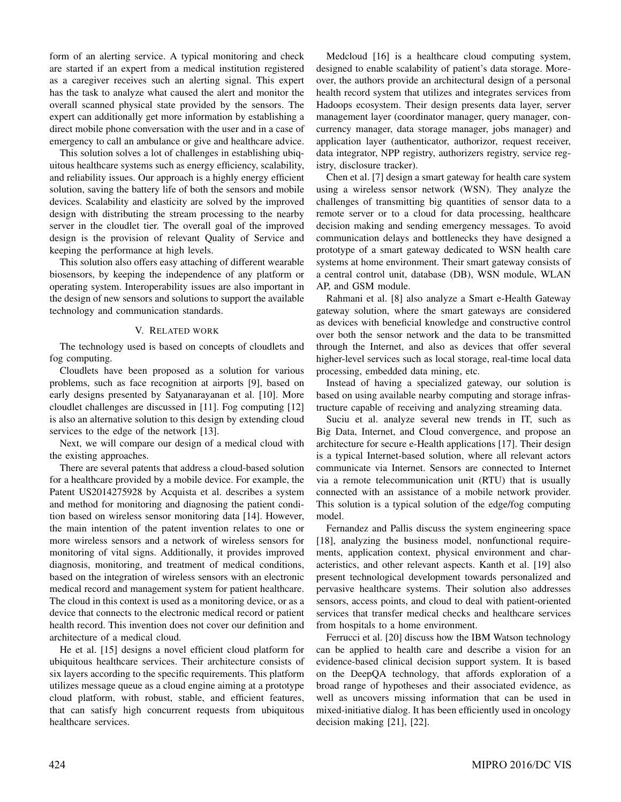form of an alerting service. A typical monitoring and check are started if an expert from a medical institution registered as a caregiver receives such an alerting signal. This expert has the task to analyze what caused the alert and monitor the overall scanned physical state provided by the sensors. The expert can additionally get more information by establishing a direct mobile phone conversation with the user and in a case of emergency to call an ambulance or give and healthcare advice.

This solution solves a lot of challenges in establishing ubiquitous healthcare systems such as energy efficiency, scalability, and reliability issues. Our approach is a highly energy efficient solution, saving the battery life of both the sensors and mobile devices. Scalability and elasticity are solved by the improved design with distributing the stream processing to the nearby server in the cloudlet tier. The overall goal of the improved design is the provision of relevant Quality of Service and keeping the performance at high levels.

This solution also offers easy attaching of different wearable biosensors, by keeping the independence of any platform or operating system. Interoperability issues are also important in the design of new sensors and solutions to support the available technology and communication standards.

#### V. RELATED WORK

The technology used is based on concepts of cloudlets and fog computing.

Cloudlets have been proposed as a solution for various problems, such as face recognition at airports [9], based on early designs presented by Satyanarayanan et al. [10]. More cloudlet challenges are discussed in [11]. Fog computing [12] is also an alternative solution to this design by extending cloud services to the edge of the network [13].

Next, we will compare our design of a medical cloud with the existing approaches.

There are several patents that address a cloud-based solution for a healthcare provided by a mobile device. For example, the Patent US2014275928 by Acquista et al. describes a system and method for monitoring and diagnosing the patient condition based on wireless sensor monitoring data [14]. However, the main intention of the patent invention relates to one or more wireless sensors and a network of wireless sensors for monitoring of vital signs. Additionally, it provides improved diagnosis, monitoring, and treatment of medical conditions, based on the integration of wireless sensors with an electronic medical record and management system for patient healthcare. The cloud in this context is used as a monitoring device, or as a device that connects to the electronic medical record or patient health record. This invention does not cover our definition and architecture of a medical cloud.

He et al. [15] designs a novel efficient cloud platform for ubiquitous healthcare services. Their architecture consists of six layers according to the specific requirements. This platform utilizes message queue as a cloud engine aiming at a prototype cloud platform, with robust, stable, and efficient features, that can satisfy high concurrent requests from ubiquitous healthcare services.

Medcloud [16] is a healthcare cloud computing system, designed to enable scalability of patient's data storage. Moreover, the authors provide an architectural design of a personal health record system that utilizes and integrates services from Hadoops ecosystem. Their design presents data layer, server management layer (coordinator manager, query manager, concurrency manager, data storage manager, jobs manager) and application layer (authenticator, authorizor, request receiver, data integrator, NPP registry, authorizers registry, service registry, disclosure tracker).

Chen et al. [7] design a smart gateway for health care system using a wireless sensor network (WSN). They analyze the challenges of transmitting big quantities of sensor data to a remote server or to a cloud for data processing, healthcare decision making and sending emergency messages. To avoid communication delays and bottlenecks they have designed a prototype of a smart gateway dedicated to WSN health care systems at home environment. Their smart gateway consists of a central control unit, database (DB), WSN module, WLAN AP, and GSM module.

Rahmani et al. [8] also analyze a Smart e-Health Gateway gateway solution, where the smart gateways are considered as devices with beneficial knowledge and constructive control over both the sensor network and the data to be transmitted through the Internet, and also as devices that offer several higher-level services such as local storage, real-time local data processing, embedded data mining, etc.

Instead of having a specialized gateway, our solution is based on using available nearby computing and storage infrastructure capable of receiving and analyzing streaming data.

Suciu et al. analyze several new trends in IT, such as Big Data, Internet, and Cloud convergence, and propose an architecture for secure e-Health applications [17]. Their design is a typical Internet-based solution, where all relevant actors communicate via Internet. Sensors are connected to Internet via a remote telecommunication unit (RTU) that is usually connected with an assistance of a mobile network provider. This solution is a typical solution of the edge/fog computing model.

Fernandez and Pallis discuss the system engineering space [18], analyzing the business model, nonfunctional requirements, application context, physical environment and characteristics, and other relevant aspects. Kanth et al. [19] also present technological development towards personalized and pervasive healthcare systems. Their solution also addresses sensors, access points, and cloud to deal with patient-oriented services that transfer medical checks and healthcare services from hospitals to a home environment.

Ferrucci et al. [20] discuss how the IBM Watson technology can be applied to health care and describe a vision for an evidence-based clinical decision support system. It is based on the DeepQA technology, that affords exploration of a broad range of hypotheses and their associated evidence, as well as uncovers missing information that can be used in mixed-initiative dialog. It has been efficiently used in oncology decision making [21], [22].